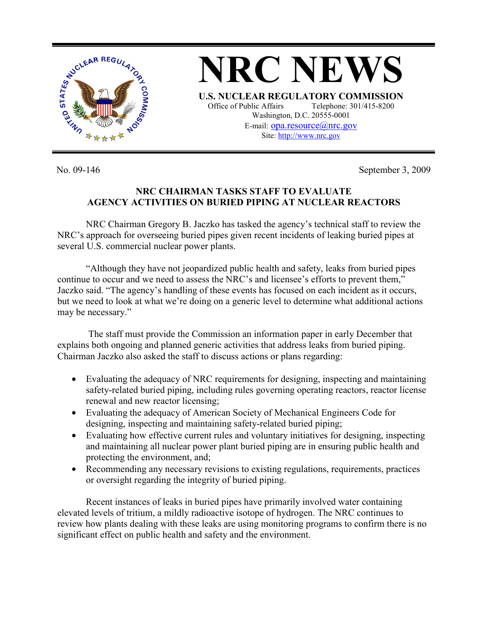

No. 09-146 September 3, 2009

## **NRC CHAIRMAN TASKS STAFF TO EVALUATE AGENCY ACTIVITIES ON BURIED PIPING AT NUCLEAR REACTORS**

NRC Chairman Gregory B. Jaczko has tasked the agency's technical staff to review the NRC's approach for overseeing buried pipes given recent incidents of leaking buried pipes at several U.S. commercial nuclear power plants.

"Although they have not jeopardized public health and safety, leaks from buried pipes continue to occur and we need to assess the NRC's and licensee's efforts to prevent them," Jaczko said. "The agency's handling of these events has focused on each incident as it occurs, but we need to look at what we're doing on a generic level to determine what additional actions may be necessary."

 The staff must provide the Commission an information paper in early December that explains both ongoing and planned generic activities that address leaks from buried piping. Chairman Jaczko also asked the staff to discuss actions or plans regarding:

- Evaluating the adequacy of NRC requirements for designing, inspecting and maintaining safety-related buried piping, including rules governing operating reactors, reactor license renewal and new reactor licensing;
- Evaluating the adequacy of American Society of Mechanical Engineers Code for designing, inspecting and maintaining safety-related buried piping;
- Evaluating how effective current rules and voluntary initiatives for designing, inspecting and maintaining all nuclear power plant buried piping are in ensuring public health and protecting the environment, and;
- Recommending any necessary revisions to existing regulations, requirements, practices or oversight regarding the integrity of buried piping.

Recent instances of leaks in buried pipes have primarily involved water containing elevated levels of tritium, a mildly radioactive isotope of hydrogen. The NRC continues to review how plants dealing with these leaks are using monitoring programs to confirm there is no significant effect on public health and safety and the environment.